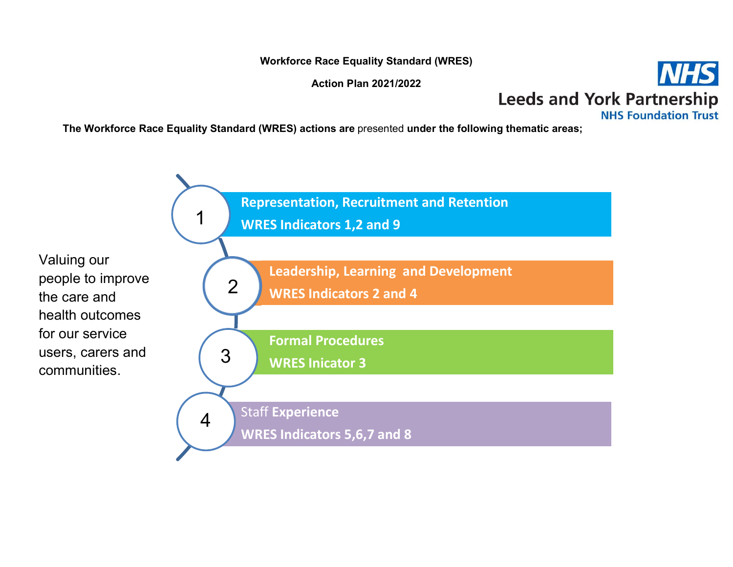Workforce Race Equality Standard (WRES)

Action Plan 2021/2022



The Workforce Race Equality Standard (WRES) actions are presented under the following thematic areas;

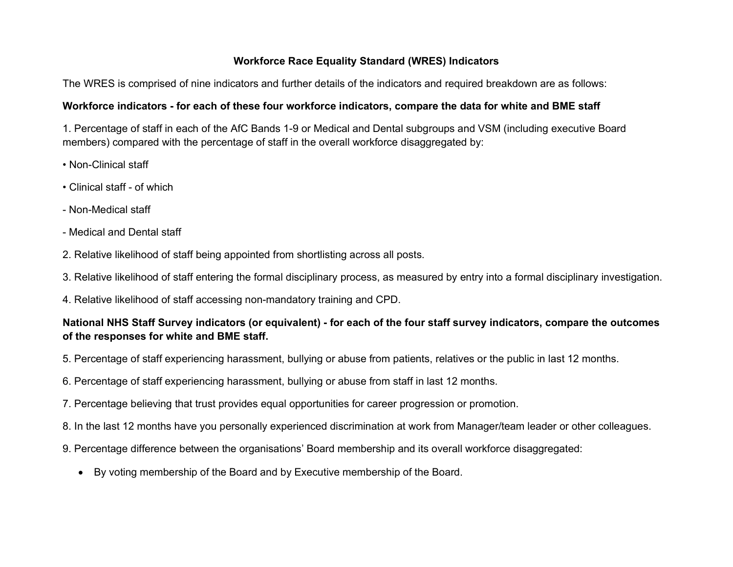## Workforce Race Equality Standard (WRES) Indicators

The WRES is comprised of nine indicators and further details of the indicators and required breakdown are as follows:

## Workforce indicators - for each of these four workforce indicators, compare the data for white and BME staff

1. Percentage of staff in each of the AfC Bands 1-9 or Medical and Dental subgroups and VSM (including executive Board members) compared with the percentage of staff in the overall workforce disaggregated by:

- Non-Clinical staff
- Clinical staff of which
- Non-Medical staff
- Medical and Dental staff
- 2. Relative likelihood of staff being appointed from shortlisting across all posts.
- 3. Relative likelihood of staff entering the formal disciplinary process, as measured by entry into a formal disciplinary investigation.
- 4. Relative likelihood of staff accessing non-mandatory training and CPD.

## National NHS Staff Survey indicators (or equivalent) - for each of the four staff survey indicators, compare the outcomes of the responses for white and BME staff.

- 5. Percentage of staff experiencing harassment, bullying or abuse from patients, relatives or the public in last 12 months.
- 6. Percentage of staff experiencing harassment, bullying or abuse from staff in last 12 months.
- 7. Percentage believing that trust provides equal opportunities for career progression or promotion.
- 8. In the last 12 months have you personally experienced discrimination at work from Manager/team leader or other colleagues.
- 9. Percentage difference between the organisations' Board membership and its overall workforce disaggregated:
	- By voting membership of the Board and by Executive membership of the Board.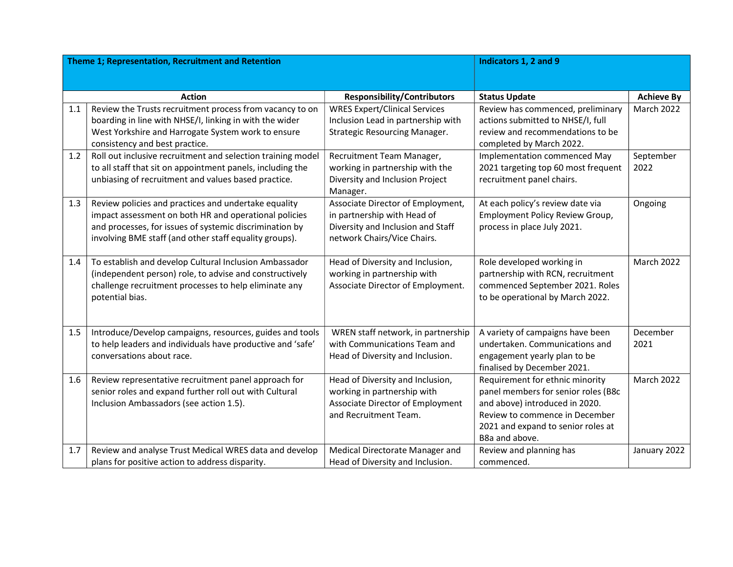| Theme 1; Representation, Recruitment and Retention |                                                             |                                               | Indicators 1, 2 and 9                  |                   |
|----------------------------------------------------|-------------------------------------------------------------|-----------------------------------------------|----------------------------------------|-------------------|
|                                                    |                                                             |                                               |                                        |                   |
|                                                    |                                                             |                                               |                                        |                   |
|                                                    | <b>Action</b>                                               | <b>Responsibility/Contributors</b>            | <b>Status Update</b>                   | <b>Achieve By</b> |
| 1.1                                                | Review the Trusts recruitment process from vacancy to on    | <b>WRES Expert/Clinical Services</b>          | Review has commenced, preliminary      | <b>March 2022</b> |
|                                                    | boarding in line with NHSE/I, linking in with the wider     | Inclusion Lead in partnership with            | actions submitted to NHSE/I, full      |                   |
|                                                    | West Yorkshire and Harrogate System work to ensure          | Strategic Resourcing Manager.                 | review and recommendations to be       |                   |
|                                                    | consistency and best practice.                              |                                               | completed by March 2022.               |                   |
| 1.2                                                | Roll out inclusive recruitment and selection training model | Recruitment Team Manager,                     | Implementation commenced May           | September         |
|                                                    | to all staff that sit on appointment panels, including the  | working in partnership with the               | 2021 targeting top 60 most frequent    | 2022              |
|                                                    | unbiasing of recruitment and values based practice.         | Diversity and Inclusion Project               | recruitment panel chairs.              |                   |
| 1.3                                                | Review policies and practices and undertake equality        | Manager.<br>Associate Director of Employment, | At each policy's review date via       | Ongoing           |
|                                                    | impact assessment on both HR and operational policies       | in partnership with Head of                   | <b>Employment Policy Review Group,</b> |                   |
|                                                    | and processes, for issues of systemic discrimination by     | Diversity and Inclusion and Staff             | process in place July 2021.            |                   |
|                                                    | involving BME staff (and other staff equality groups).      | network Chairs/Vice Chairs.                   |                                        |                   |
|                                                    |                                                             |                                               |                                        |                   |
| 1.4                                                | To establish and develop Cultural Inclusion Ambassador      | Head of Diversity and Inclusion,              | Role developed working in              | March 2022        |
|                                                    | (independent person) role, to advise and constructively     | working in partnership with                   | partnership with RCN, recruitment      |                   |
|                                                    | challenge recruitment processes to help eliminate any       | Associate Director of Employment.             | commenced September 2021. Roles        |                   |
|                                                    | potential bias.                                             |                                               | to be operational by March 2022.       |                   |
|                                                    |                                                             |                                               |                                        |                   |
|                                                    |                                                             |                                               |                                        |                   |
| 1.5                                                | Introduce/Develop campaigns, resources, guides and tools    | WREN staff network, in partnership            | A variety of campaigns have been       | December          |
|                                                    | to help leaders and individuals have productive and 'safe'  | with Communications Team and                  | undertaken. Communications and         | 2021              |
|                                                    | conversations about race.                                   | Head of Diversity and Inclusion.              | engagement yearly plan to be           |                   |
|                                                    |                                                             |                                               | finalised by December 2021.            |                   |
| 1.6                                                | Review representative recruitment panel approach for        | Head of Diversity and Inclusion,              | Requirement for ethnic minority        | March 2022        |
|                                                    | senior roles and expand further roll out with Cultural      | working in partnership with                   | panel members for senior roles (B8c    |                   |
|                                                    | Inclusion Ambassadors (see action 1.5).                     | Associate Director of Employment              | and above) introduced in 2020.         |                   |
|                                                    |                                                             | and Recruitment Team.                         | Review to commence in December         |                   |
|                                                    |                                                             |                                               | 2021 and expand to senior roles at     |                   |
|                                                    |                                                             |                                               | B8a and above.                         |                   |
| 1.7                                                | Review and analyse Trust Medical WRES data and develop      | Medical Directorate Manager and               | Review and planning has                | January 2022      |
|                                                    | plans for positive action to address disparity.             | Head of Diversity and Inclusion.              | commenced.                             |                   |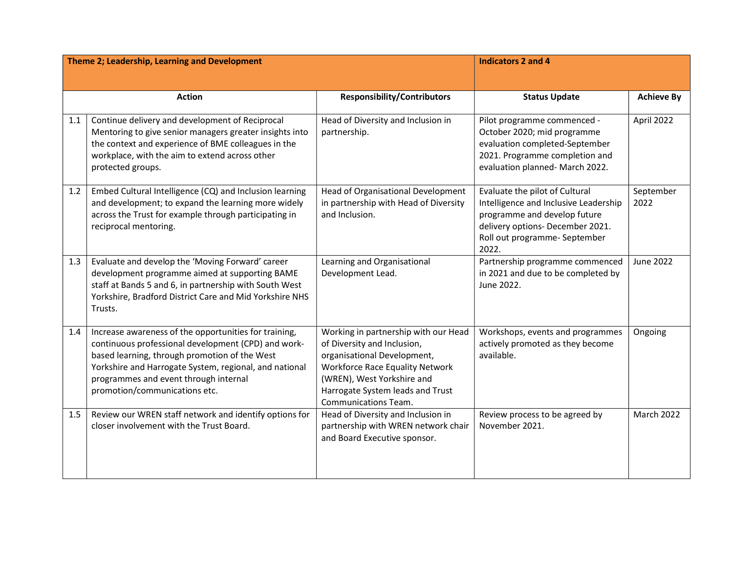| Theme 2; Leadership, Learning and Development |                                                                                                                                                                                                                                                                                                   |                                                                                                                                                                                                                                               | <b>Indicators 2 and 4</b>                                                                                                                                                             |                   |
|-----------------------------------------------|---------------------------------------------------------------------------------------------------------------------------------------------------------------------------------------------------------------------------------------------------------------------------------------------------|-----------------------------------------------------------------------------------------------------------------------------------------------------------------------------------------------------------------------------------------------|---------------------------------------------------------------------------------------------------------------------------------------------------------------------------------------|-------------------|
|                                               |                                                                                                                                                                                                                                                                                                   |                                                                                                                                                                                                                                               |                                                                                                                                                                                       |                   |
|                                               | <b>Action</b>                                                                                                                                                                                                                                                                                     | <b>Responsibility/Contributors</b>                                                                                                                                                                                                            | <b>Status Update</b>                                                                                                                                                                  | <b>Achieve By</b> |
| 1.1                                           | Continue delivery and development of Reciprocal<br>Mentoring to give senior managers greater insights into<br>the context and experience of BME colleagues in the<br>workplace, with the aim to extend across other<br>protected groups.                                                          | Head of Diversity and Inclusion in<br>partnership.                                                                                                                                                                                            | Pilot programme commenced -<br>October 2020; mid programme<br>evaluation completed-September<br>2021. Programme completion and<br>evaluation planned- March 2022.                     | April 2022        |
| 1.2                                           | Embed Cultural Intelligence (CQ) and Inclusion learning<br>and development; to expand the learning more widely<br>across the Trust for example through participating in<br>reciprocal mentoring.                                                                                                  | Head of Organisational Development<br>in partnership with Head of Diversity<br>and Inclusion.                                                                                                                                                 | Evaluate the pilot of Cultural<br>Intelligence and Inclusive Leadership<br>programme and develop future<br>delivery options- December 2021.<br>Roll out programme- September<br>2022. | September<br>2022 |
| 1.3                                           | Evaluate and develop the 'Moving Forward' career<br>development programme aimed at supporting BAME<br>staff at Bands 5 and 6, in partnership with South West<br>Yorkshire, Bradford District Care and Mid Yorkshire NHS<br>Trusts.                                                                | Learning and Organisational<br>Development Lead.                                                                                                                                                                                              | Partnership programme commenced<br>in 2021 and due to be completed by<br>June 2022.                                                                                                   | <b>June 2022</b>  |
| 1.4                                           | Increase awareness of the opportunities for training,<br>continuous professional development (CPD) and work-<br>based learning, through promotion of the West<br>Yorkshire and Harrogate System, regional, and national<br>programmes and event through internal<br>promotion/communications etc. | Working in partnership with our Head<br>of Diversity and Inclusion,<br>organisational Development,<br><b>Workforce Race Equality Network</b><br>(WREN), West Yorkshire and<br>Harrogate System leads and Trust<br><b>Communications Team.</b> | Workshops, events and programmes<br>actively promoted as they become<br>available.                                                                                                    | Ongoing           |
| 1.5                                           | Review our WREN staff network and identify options for<br>closer involvement with the Trust Board.                                                                                                                                                                                                | Head of Diversity and Inclusion in<br>partnership with WREN network chair<br>and Board Executive sponsor.                                                                                                                                     | Review process to be agreed by<br>November 2021.                                                                                                                                      | March 2022        |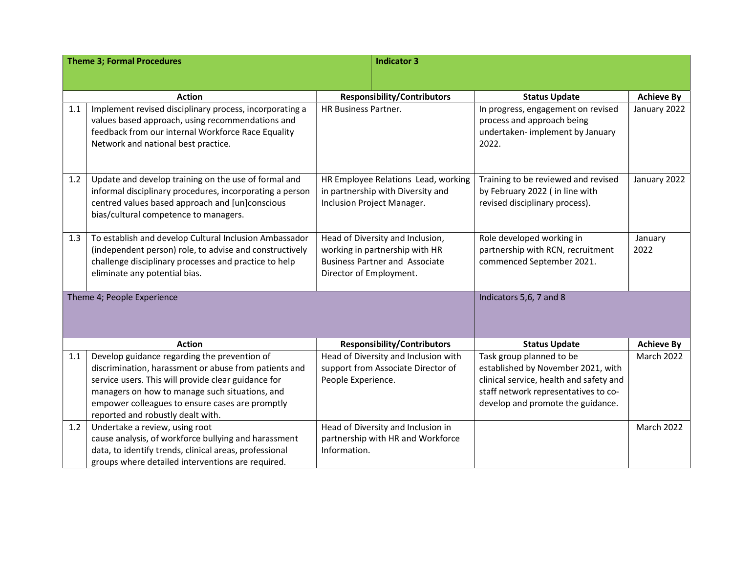| <b>Theme 3; Formal Procedures</b> |                                                          |                                     | <b>Indicator 3</b>                    |                                         |                   |
|-----------------------------------|----------------------------------------------------------|-------------------------------------|---------------------------------------|-----------------------------------------|-------------------|
|                                   |                                                          |                                     |                                       |                                         |                   |
|                                   |                                                          |                                     |                                       |                                         |                   |
|                                   | <b>Action</b>                                            |                                     | <b>Responsibility/Contributors</b>    | <b>Status Update</b>                    | <b>Achieve By</b> |
| 1.1                               | Implement revised disciplinary process, incorporating a  | HR Business Partner.                |                                       | In progress, engagement on revised      | January 2022      |
|                                   | values based approach, using recommendations and         |                                     |                                       | process and approach being              |                   |
|                                   | feedback from our internal Workforce Race Equality       |                                     |                                       | undertaken- implement by January        |                   |
|                                   | Network and national best practice.                      |                                     |                                       | 2022.                                   |                   |
|                                   |                                                          |                                     |                                       |                                         |                   |
| 1.2                               | Update and develop training on the use of formal and     | HR Employee Relations Lead, working |                                       | Training to be reviewed and revised     | January 2022      |
|                                   | informal disciplinary procedures, incorporating a person |                                     | in partnership with Diversity and     | by February 2022 (in line with          |                   |
|                                   | centred values based approach and [un]conscious          |                                     | Inclusion Project Manager.            | revised disciplinary process).          |                   |
|                                   | bias/cultural competence to managers.                    |                                     |                                       |                                         |                   |
|                                   |                                                          |                                     |                                       |                                         |                   |
| 1.3                               | To establish and develop Cultural Inclusion Ambassador   | Head of Diversity and Inclusion,    |                                       | Role developed working in               | January           |
|                                   | (independent person) role, to advise and constructively  |                                     | working in partnership with HR        | partnership with RCN, recruitment       | 2022              |
|                                   | challenge disciplinary processes and practice to help    |                                     | <b>Business Partner and Associate</b> | commenced September 2021.               |                   |
|                                   | eliminate any potential bias.                            | Director of Employment.             |                                       |                                         |                   |
|                                   |                                                          |                                     |                                       | Indicators 5,6, 7 and 8                 |                   |
| Theme 4; People Experience        |                                                          |                                     |                                       |                                         |                   |
|                                   |                                                          |                                     |                                       |                                         |                   |
|                                   |                                                          |                                     |                                       |                                         |                   |
|                                   | <b>Action</b>                                            |                                     | <b>Responsibility/Contributors</b>    | <b>Status Update</b>                    | <b>Achieve By</b> |
| 1.1                               | Develop guidance regarding the prevention of             |                                     | Head of Diversity and Inclusion with  | Task group planned to be                | March 2022        |
|                                   | discrimination, harassment or abuse from patients and    |                                     | support from Associate Director of    | established by November 2021, with      |                   |
|                                   | service users. This will provide clear guidance for      | People Experience.                  |                                       | clinical service, health and safety and |                   |
|                                   | managers on how to manage such situations, and           |                                     |                                       | staff network representatives to co-    |                   |
|                                   | empower colleagues to ensure cases are promptly          |                                     |                                       | develop and promote the guidance.       |                   |
|                                   | reported and robustly dealt with.                        |                                     |                                       |                                         |                   |
| 1.2                               | Undertake a review, using root                           |                                     | Head of Diversity and Inclusion in    |                                         | <b>March 2022</b> |
|                                   | cause analysis, of workforce bullying and harassment     |                                     | partnership with HR and Workforce     |                                         |                   |
|                                   | data, to identify trends, clinical areas, professional   | Information.                        |                                       |                                         |                   |
|                                   | groups where detailed interventions are required.        |                                     |                                       |                                         |                   |